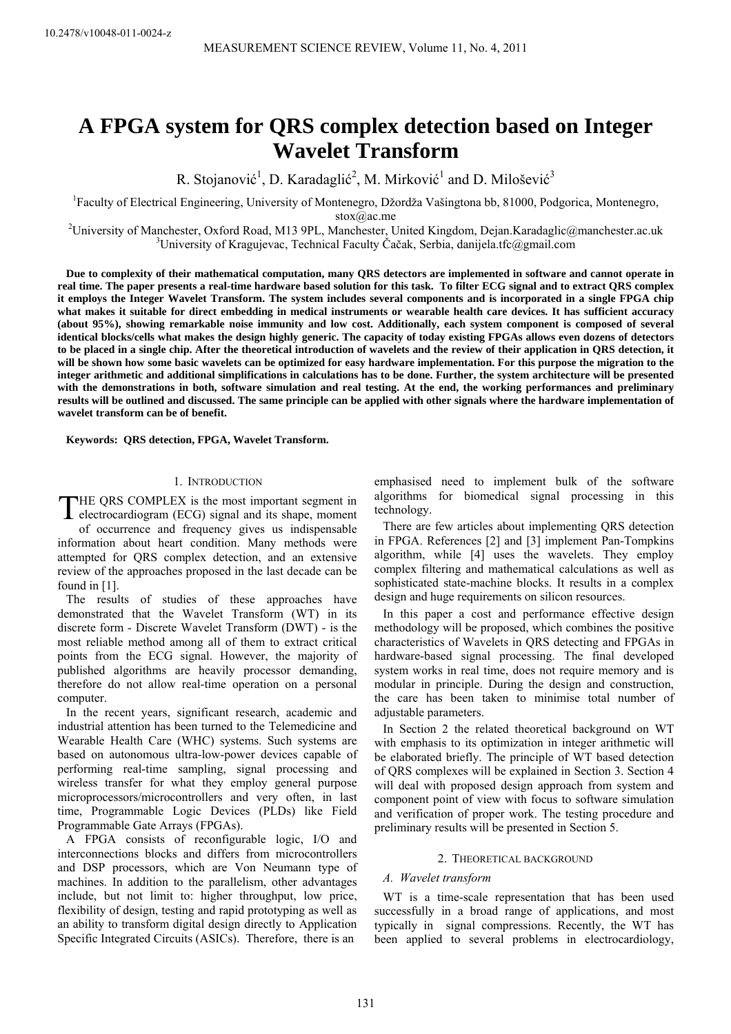# **A FPGA system for QRS complex detection based on Integer Wavelet Transform**

R. Stojanović<sup>1</sup>, D. Karadaglić<sup>2</sup>, M. Mirković<sup>1</sup> and D. Milošević<sup>3</sup>

<sup>1</sup>Faculty of Electrical Engineering, University of Montenegro, Džordža Vašingtona bb, 81000, Podgorica, Montenegro, stox@ac.me<br><sup>2</sup>University of Manabastar, Oxford Boad, M12,0DL, Manabastar, L

University of Manchester, Oxford Road, M13 9PL, Manchester, United Kingdom, Dejan.Karadaglic@manchester.ac.uk<br><sup>3</sup>University of Kramiovae, Technical Feculty Čeček, Serbie, denijele tfo@rmail.com <sup>3</sup>University of Kragujevac, Technical Faculty Čačak, Serbia, danijela.tfc@gmail.com

**Due to complexity of their mathematical computation, many QRS detectors are implemented in software and cannot operate in real time. The paper presents a real-time hardware based solution for this task. To filter ECG signal and to extract QRS complex it employs the Integer Wavelet Transform. The system includes several components and is incorporated in a single FPGA chip what makes it suitable for direct embedding in medical instruments or wearable health care devices. It has sufficient accuracy (about 95%), showing remarkable noise immunity and low cost. Additionally, each system component is composed of several identical blocks/cells what makes the design highly generic. The capacity of today existing FPGAs allows even dozens of detectors to be placed in a single chip. After the theoretical introduction of wavelets and the review of their application in QRS detection, it will be shown how some basic wavelets can be optimized for easy hardware implementation. For this purpose the migration to the integer arithmetic and additional simplifications in calculations has to be done. Further, the system architecture will be presented with the demonstrations in both, software simulation and real testing. At the end, the working performances and preliminary results will be outlined and discussed. The same principle can be applied with other signals where the hardware implementation of wavelet transform can be of benefit.** 

**Keywords: QRS detection, FPGA, Wavelet Transform.** 

#### 1. INTRODUCTION

HE QRS COMPLEX is the most important segment in THE QRS COMPLEX is the most important segment in electrocardiogram (ECG) signal and its shape, moment

of occurrence and frequency gives us indispensable information about heart condition. Many methods were attempted for QRS complex detection, and an extensive review of the approaches proposed in the last decade can be found in [1].

The results of studies of these approaches have demonstrated that the Wavelet Transform (WT) in its discrete form - Discrete Wavelet Transform (DWT) - is the most reliable method among all of them to extract critical points from the ECG signal. However, the majority of published algorithms are heavily processor demanding, therefore do not allow real-time operation on a personal computer.

In the recent years, significant research, academic and industrial attention has been turned to the Telemedicine and Wearable Health Care (WHC) systems. Such systems are based on autonomous ultra-low-power devices capable of performing real-time sampling, signal processing and wireless transfer for what they employ general purpose microprocessors/microcontrollers and very often, in last time, Programmable Logic Devices (PLDs) like Field Programmable Gate Arrays (FPGAs).

A FPGA consists of reconfigurable logic, I/O and interconnections blocks and differs from microcontrollers and DSP processors, which are Von Neumann type of machines. In addition to the parallelism, other advantages include, but not limit to: higher throughput, low price, flexibility of design, testing and rapid prototyping as well as an ability to transform digital design directly to Application Specific Integrated Circuits (ASICs). Therefore, there is an

emphasised need to implement bulk of the software algorithms for biomedical signal processing in this technology.

There are few articles about implementing QRS detection in FPGA. References [2] and [3] implement Pan-Tompkins algorithm, while [4] uses the wavelets. They employ complex filtering and mathematical calculations as well as sophisticated state-machine blocks. It results in a complex design and huge requirements on silicon resources.

In this paper a cost and performance effective design methodology will be proposed, which combines the positive characteristics of Wavelets in QRS detecting and FPGAs in hardware-based signal processing. The final developed system works in real time, does not require memory and is modular in principle. During the design and construction, the care has been taken to minimise total number of adjustable parameters.

In Section 2 the related theoretical background on WT with emphasis to its optimization in integer arithmetic will be elaborated briefly. The principle of WT based detection of QRS complexes will be explained in Section 3. Section 4 will deal with proposed design approach from system and component point of view with focus to software simulation and verification of proper work. The testing procedure and preliminary results will be presented in Section 5.

#### 2. THEORETICAL BACKGROUND

## *A. Wavelet transform*

WT is a time-scale representation that has been used successfully in a broad range of applications, and most typically in signal compressions. Recently, the WT has been applied to several problems in electrocardiology,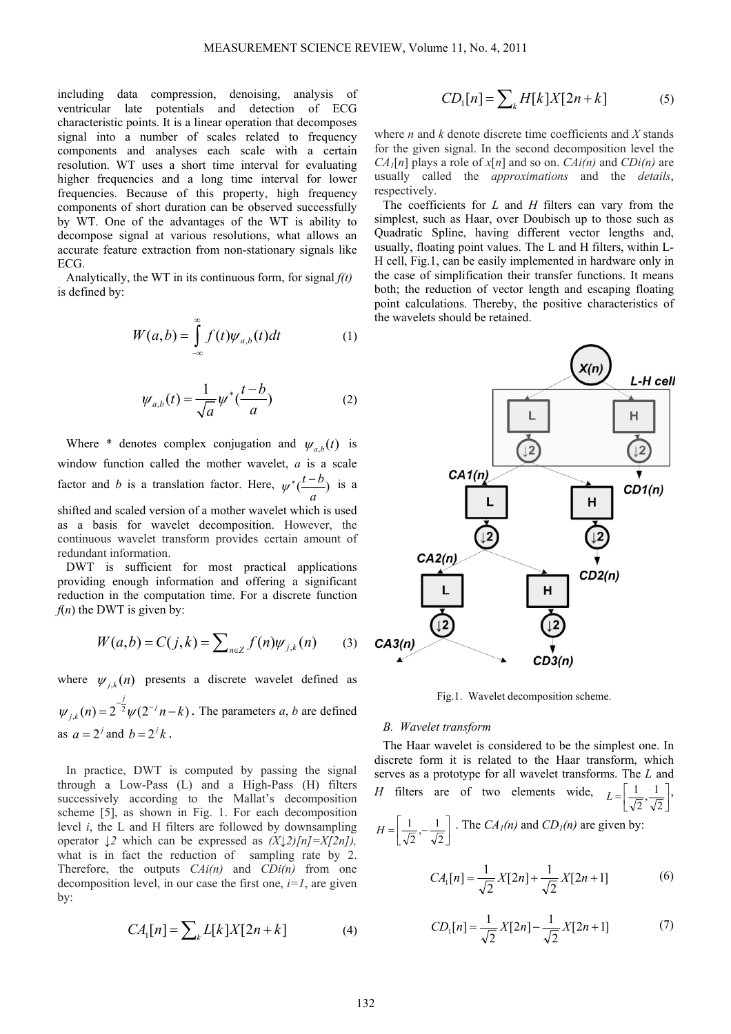including data compression, denoising, analysis of ventricular late potentials and detection of ECG characteristic points. It is a linear operation that decomposes signal into a number of scales related to frequency components and analyses each scale with a certain resolution. WT uses a short time interval for evaluating higher frequencies and a long time interval for lower frequencies. Because of this property, high frequency components of short duration can be observed successfully by WT. One of the advantages of the WT is ability to decompose signal at various resolutions, what allows an accurate feature extraction from non-stationary signals like ECG.

Analytically, the WT in its continuous form, for signal *f(t)* is defined by:

$$
W(a,b) = \int_{-\infty}^{\infty} f(t)\psi_{a,b}(t)dt
$$
 (1)

$$
\psi_{a,b}(t) = \frac{1}{\sqrt{a}} \psi^* \left(\frac{t-b}{a}\right) \tag{2}
$$

Where \* denotes complex conjugation and  $\psi_{a,b}(t)$  is window function called the mother wavelet, *a* is a scale factor and *b* is a translation factor. Here,  $\psi^*$  ( $\frac{t-b}{t}$ )  $\psi^*$ ( $\frac{t-b}{a}$ ) is a shifted and scaled version of a mother wavelet which is used as a basis for wavelet decomposition. However, the continuous wavelet transform provides certain amount of redundant information.

DWT is sufficient for most practical applications providing enough information and offering a significant reduction in the computation time. For a discrete function  $f(n)$  the DWT is given by:

$$
W(a,b) = C(j,k) = \sum_{n \in \mathbb{Z}} f(n) \psi_{j,k}(n) \qquad (3)
$$

where  $\psi_{j,k}(n)$  presents a discrete wavelet defined as  $_{k}(n) = 2 \sqrt[2]{2} \sqrt{2} (2^{-j} n - k)$  $\psi_{j,k}(n) = 2^{-j} \psi(2^{-j}n - k)$ . The parameters *a*, *b* are defined as  $a = 2^j$  and  $b = 2^j k$ .

In practice, DWT is computed by passing the signal through a Low-Pass (L) and a High-Pass (H) filters successively according to the Mallat's decomposition scheme [5], as shown in Fig. 1. For each decomposition level *i*, the L and H filters are followed by downsampling operator  $\downarrow$ 2 which can be expressed as  $(X\downarrow 2)/[n]=X[2n]$ , what is in fact the reduction of sampling rate by 2. Therefore, the outputs *CAi(n)* and *CDi(n)* from one decomposition level, in our case the first one,  $i=1$ , are given by:

$$
CA1[n] = \sum_{k} L[k]X[2n+k]
$$
 (4)

$$
CD_1[n] = \sum_k H[k]X[2n+k] \tag{5}
$$

where *n* and *k* denote discrete time coefficients and *X* stands for the given signal. In the second decomposition level the  $CA<sub>1</sub>[n]$  plays a role of  $x[n]$  and so on.  $CAi(n)$  and  $CDi(n)$  are usually called the *approximations* and the *details*, respectively.

The coefficients for *L* and *H* filters can vary from the simplest, such as Haar, over Doubisch up to those such as Quadratic Spline, having different vector lengths and, usually, floating point values. The L and H filters, within L-H cell, Fig.1, can be easily implemented in hardware only in the case of simplification their transfer functions. It means both; the reduction of vector length and escaping floating point calculations. Thereby, the positive characteristics of the wavelets should be retained.



Fig.1. Wavelet decomposition scheme.

#### *B. Wavelet transform*

The Haar wavelet is considered to be the simplest one. In discrete form it is related to the Haar transform, which serves as a prototype for all wavelet transforms. The *L* and *H* filters are of two elements wide,  $L = \left[ \frac{1}{\sqrt{2}}, \frac{1}{\sqrt{2}} \right]$ ,  $=\left[\frac{1}{\sqrt{2}},-\frac{1}{\sqrt{2}}\right]$ 2  $H = \left| \frac{1}{\sqrt{1 - \frac{1}{c^2}}} \right|$ . The  $CA_1(n)$  and  $CD_1(n)$  are given by:

$$
CA_1[n] = \frac{1}{\sqrt{2}} X[2n] + \frac{1}{\sqrt{2}} X[2n+1]
$$
 (6)

$$
CD_1[n] = \frac{1}{\sqrt{2}} X[2n] - \frac{1}{\sqrt{2}} X[2n+1]
$$
 (7)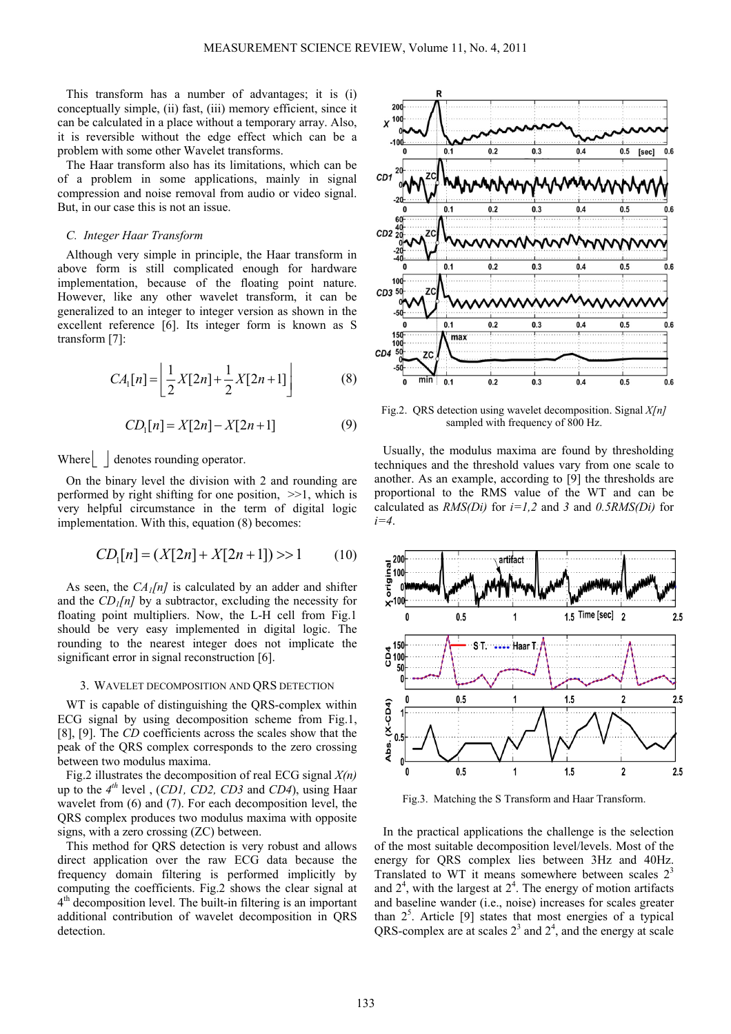This transform has a number of advantages; it is (i) conceptually simple, (ii) fast, (iii) memory efficient, since it can be calculated in a place without a temporary array. Also, it is reversible without the edge effect which can be a problem with some other Wavelet transforms.

The Haar transform also has its limitations, which can be of a problem in some applications, mainly in signal compression and noise removal from audio or video signal. But, in our case this is not an issue.

# *C. Integer Haar Transform*

Although very simple in principle, the Haar transform in above form is still complicated enough for hardware implementation, because of the floating point nature. However, like any other wavelet transform, it can be generalized to an integer to integer version as shown in the excellent reference [6]. Its integer form is known as S transform [7]:

$$
CA_1[n] = \left\lfloor \frac{1}{2}X[2n] + \frac{1}{2}X[2n+1] \right\rfloor
$$
 (8)

$$
CD_1[n] = X[2n] - X[2n+1] \tag{9}
$$

Where  $\vert$  denotes rounding operator.

On the binary level the division with 2 and rounding are performed by right shifting for one position,  $\gg$ 1, which is very helpful circumstance in the term of digital logic implementation. With this, equation (8) becomes:

$$
CD1[n] = (X[2n] + X[2n + 1]) >> 1
$$
 (10)

As seen, the  $CA_1[n]$  is calculated by an adder and shifter and the  $CD_1[n]$  by a subtractor, excluding the necessity for floating point multipliers. Now, the L-H cell from Fig.1 should be very easy implemented in digital logic. The rounding to the nearest integer does not implicate the significant error in signal reconstruction [6].

#### 3. WAVELET DECOMPOSITION AND QRS DETECTION

WT is capable of distinguishing the QRS-complex within ECG signal by using decomposition scheme from Fig.1, [8], [9]. The *CD* coefficients across the scales show that the peak of the QRS complex corresponds to the zero crossing between two modulus maxima.

Fig.2 illustrates the decomposition of real ECG signal *X(n)* up to the *4th* level , (*CD1, CD2, CD3* and *CD4*), using Haar wavelet from (6) and (7). For each decomposition level, the QRS complex produces two modulus maxima with opposite signs, with a zero crossing (ZC) between.

This method for QRS detection is very robust and allows direct application over the raw ECG data because the frequency domain filtering is performed implicitly by computing the coefficients. Fig.2 shows the clear signal at 4th decomposition level. The built-in filtering is an important additional contribution of wavelet decomposition in QRS detection.



Fig.2. QRS detection using wavelet decomposition. Signal *X[n]* sampled with frequency of 800 Hz.

Usually, the modulus maxima are found by thresholding techniques and the threshold values vary from one scale to another. As an example, according to [9] the thresholds are proportional to the RMS value of the WT and can be calculated as *RMS(Di)* for *i=1,2* and *3* and *0.5RMS(Di)* for *i=4*.



Fig.3. Matching the S Transform and Haar Transform.

In the practical applications the challenge is the selection of the most suitable decomposition level/levels. Most of the energy for QRS complex lies between 3Hz and 40Hz. Translated to WT it means somewhere between scales  $2<sup>3</sup>$ and  $2<sup>4</sup>$ , with the largest at  $2<sup>4</sup>$ . The energy of motion artifacts and baseline wander (i.e., noise) increases for scales greater than  $2<sup>5</sup>$ . Article [9] states that most energies of a typical QRS-complex are at scales  $2<sup>3</sup>$  and  $2<sup>4</sup>$ , and the energy at scale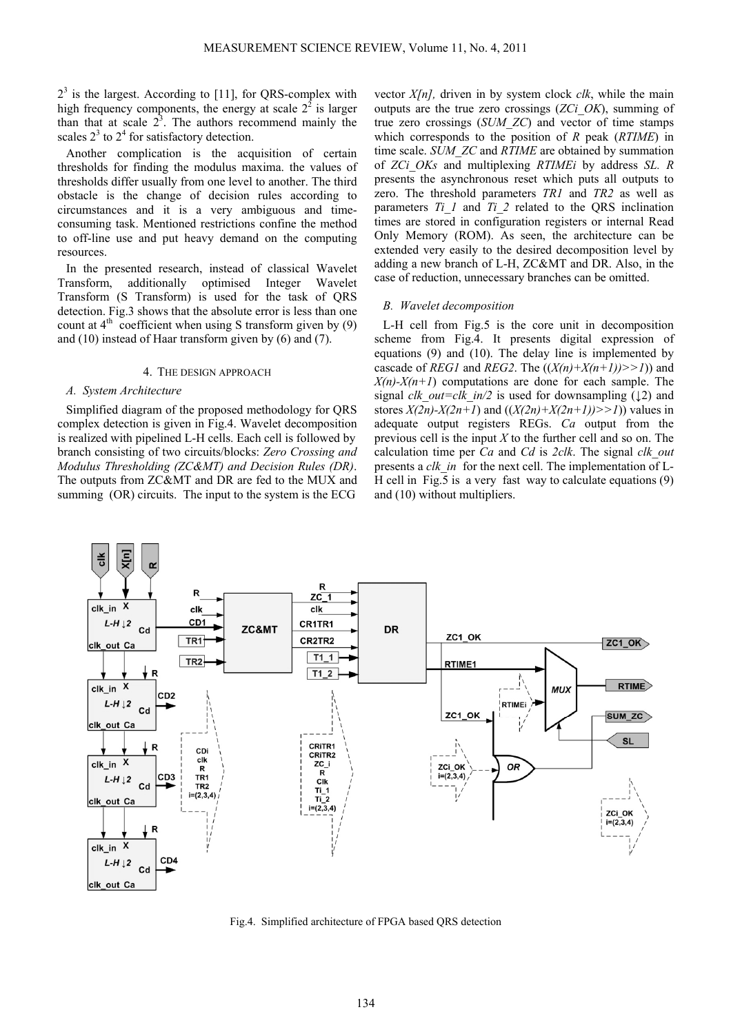$2<sup>3</sup>$  is the largest. According to [11], for QRS-complex with high frequency components, the energy at scale  $2<sup>2</sup>$  is larger than that at scale  $2<sup>3</sup>$ . The authors recommend mainly the scales  $2<sup>3</sup>$  to  $2<sup>4</sup>$  for satisfactory detection.

Another complication is the acquisition of certain thresholds for finding the modulus maxima. the values of thresholds differ usually from one level to another. The third obstacle is the change of decision rules according to circumstances and it is a very ambiguous and timeconsuming task. Mentioned restrictions confine the method to off-line use and put heavy demand on the computing resources.

In the presented research, instead of classical Wavelet Transform, additionally optimised Integer Wavelet Transform (S Transform) is used for the task of QRS detection. Fig.3 shows that the absolute error is less than one count at  $4<sup>th</sup>$  coefficient when using S transform given by (9) and (10) instead of Haar transform given by (6) and (7).

### 4. THE DESIGN APPROACH

#### *A. System Architecture*

Simplified diagram of the proposed methodology for QRS complex detection is given in Fig.4. Wavelet decomposition is realized with pipelined L-H cells. Each cell is followed by branch consisting of two circuits/blocks: *Zero Crossing and Modulus Thresholding (ZC&MT) and Decision Rules (DR)*. The outputs from ZC&MT and DR are fed to the MUX and summing (OR) circuits. The input to the system is the ECG

vector *X[n],* driven in by system clock *clk*, while the main outputs are the true zero crossings (*ZCi\_OK*), summing of true zero crossings (*SUM\_ZC*) and vector of time stamps which corresponds to the position of *R* peak (*RTIME*) in time scale. *SUM\_ZC* and *RTIME* are obtained by summation of *ZCi\_OKs* and multiplexing *RTIMEi* by address *SL. R* presents the asynchronous reset which puts all outputs to zero. The threshold parameters *TR1* and *TR2* as well as parameters *Ti\_1* and *Ti\_2* related to the QRS inclination times are stored in configuration registers or internal Read Only Memory (ROM). As seen, the architecture can be extended very easily to the desired decomposition level by adding a new branch of L-H, ZC&MT and DR. Also, in the case of reduction, unnecessary branches can be omitted.

### *B. Wavelet decomposition*

L-H cell from Fig.5 is the core unit in decomposition scheme from Fig.4. It presents digital expression of equations (9) and (10). The delay line is implemented by cascade of *REG1* and *REG2*. The  $((X(n)+X(n+1))>>1)$  and  $X(n)$ - $X(n+1)$  computations are done for each sample. The signal *clk* out=clk in/2 is used for downsampling ( $\downarrow$ 2) and stores  $X(2n) - X(2n+1)$  and  $((X(2n) + X(2n+1)) >> 1)$ ) values in adequate output registers REGs. *Ca* output from the previous cell is the input *X* to the further cell and so on. The calculation time per *Ca* and *Cd* is *2clk*. The signal *clk\_out* presents a *clk\_in* for the next cell. The implementation of L-H cell in Fig.5 is a very fast way to calculate equations (9) and (10) without multipliers.

![](_page_3_Figure_10.jpeg)

Fig.4. Simplified architecture of FPGA based QRS detection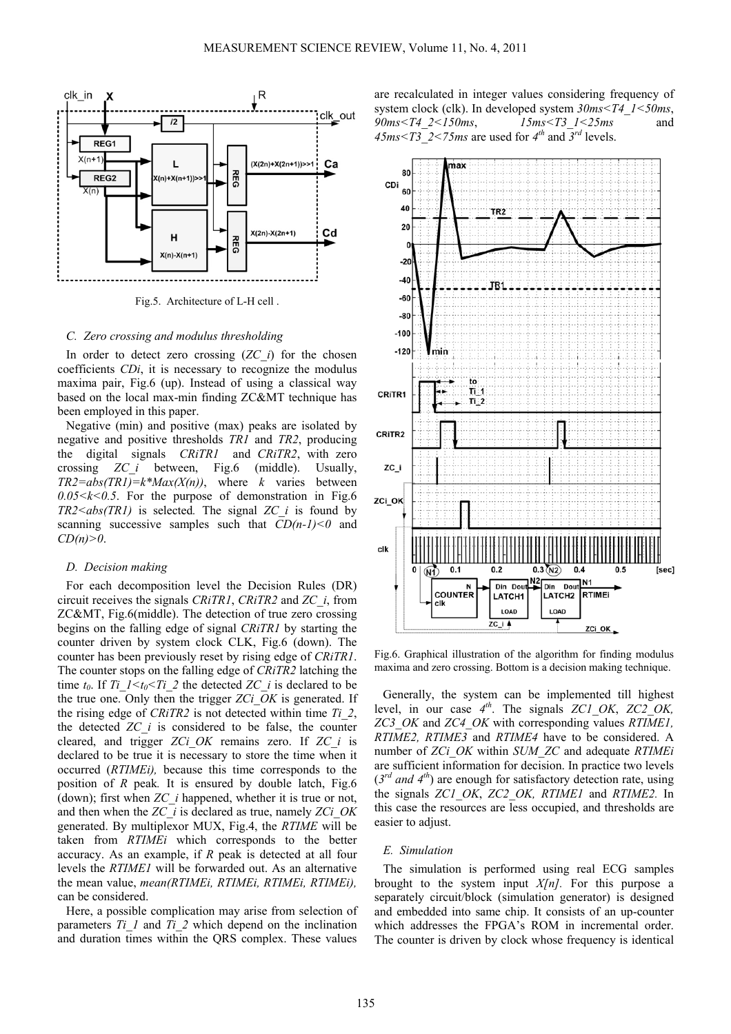![](_page_4_Figure_1.jpeg)

Fig.5. Architecture of L-H cell .

#### *C. Zero crossing and modulus thresholding*

In order to detect zero crossing (*ZC\_i*) for the chosen coefficients *CDi*, it is necessary to recognize the modulus maxima pair, Fig.6 (up). Instead of using a classical way based on the local max-min finding ZC&MT technique has been employed in this paper.

Negative (min) and positive (max) peaks are isolated by negative and positive thresholds *TR1* and *TR2*, producing the digital signals *CRiTR1* and *CRiTR2*, with zero crossing *ZC\_i* between, Fig.6 (middle). Usually,  $TR2 = abs(TRI) = k * Max(X(n))$ , where *k* varies between  $0.05 \le k \le 0.5$ . For the purpose of demonstration in Fig.6 *TR2<abs(TR1)* is selected*.* The signal *ZC\_i* is found by scanning successive samples such that *CD(n-1)<0* and *CD(n)>0*.

#### *D. Decision making*

For each decomposition level the Decision Rules (DR) circuit receives the signals *CRiTR1*, *CRiTR2* and *ZC\_i*, from ZC&MT, Fig.6(middle). The detection of true zero crossing begins on the falling edge of signal *CRiTR1* by starting the counter driven by system clock CLK, Fig.6 (down). The counter has been previously reset by rising edge of *CRiTR1*. The counter stops on the falling edge of *CRiTR2* latching the time  $t_0$ . If *Ti\_1* <  $t_0$  < *Ti\_2* the detected *ZC\_i* is declared to be the true one. Only then the trigger *ZCi\_OK* is generated. If the rising edge of *CRiTR2* is not detected within time *Ti\_2*, the detected *ZC\_i* is considered to be false, the counter cleared, and trigger *ZCi\_OK* remains zero. If *ZC\_i* is declared to be true it is necessary to store the time when it occurred (*RTIMEi),* because this time corresponds to the position of *R* peak*.* It is ensured by double latch, Fig.6 (down); first when *ZC\_i* happened, whether it is true or not, and then when the *ZC\_i* is declared as true, namely *ZCi\_OK* generated. By multiplexor MUX, Fig.4, the *RTIME* will be taken from *RTIMEi* which corresponds to the better accuracy. As an example, if *R* peak is detected at all four levels the *RTIME1* will be forwarded out. As an alternative the mean value, *mean(RTIMEi, RTIMEi, RTIMEi, RTIMEi),*  can be considered.

Here, a possible complication may arise from selection of parameters *Ti\_1* and *Ti\_2* which depend on the inclination and duration times within the QRS complex. These values

are recalculated in integer values considering frequency of system clock (clk). In developed system *30ms<T4\_1<50ms*, *90ms<T4\_2<150ms*, *15ms<T3\_1<25ms* and  $45ms < T3$ <sup> $-$ </sup> 2<75ms are used for  $4^{th}$  and  $3^{rd}$  levels.

![](_page_4_Figure_10.jpeg)

Fig.6. Graphical illustration of the algorithm for finding modulus maxima and zero crossing. Bottom is a decision making technique.

Generally, the system can be implemented till highest level, in our case *4th*. The signals *ZC1\_OK*, *ZC2\_OK, ZC3\_OK* and *ZC4\_OK* with corresponding values *RTIME1, RTIME2, RTIME3* and *RTIME4* have to be considered. A number of *ZCi\_OK* within *SUM\_ZC* and adequate *RTIMEi* are sufficient information for decision. In practice two levels  $(3<sup>rd</sup>$  *and*  $4<sup>th</sup>$ ) are enough for satisfactory detection rate, using the signals *ZC1\_OK*, *ZC2\_OK, RTIME1* and *RTIME2.* In this case the resources are less occupied, and thresholds are easier to adjust.

#### *E. Simulation*

The simulation is performed using real ECG samples brought to the system input *X[n].* For this purpose a separately circuit/block (simulation generator) is designed and embedded into same chip. It consists of an up-counter which addresses the FPGA's ROM in incremental order. The counter is driven by clock whose frequency is identical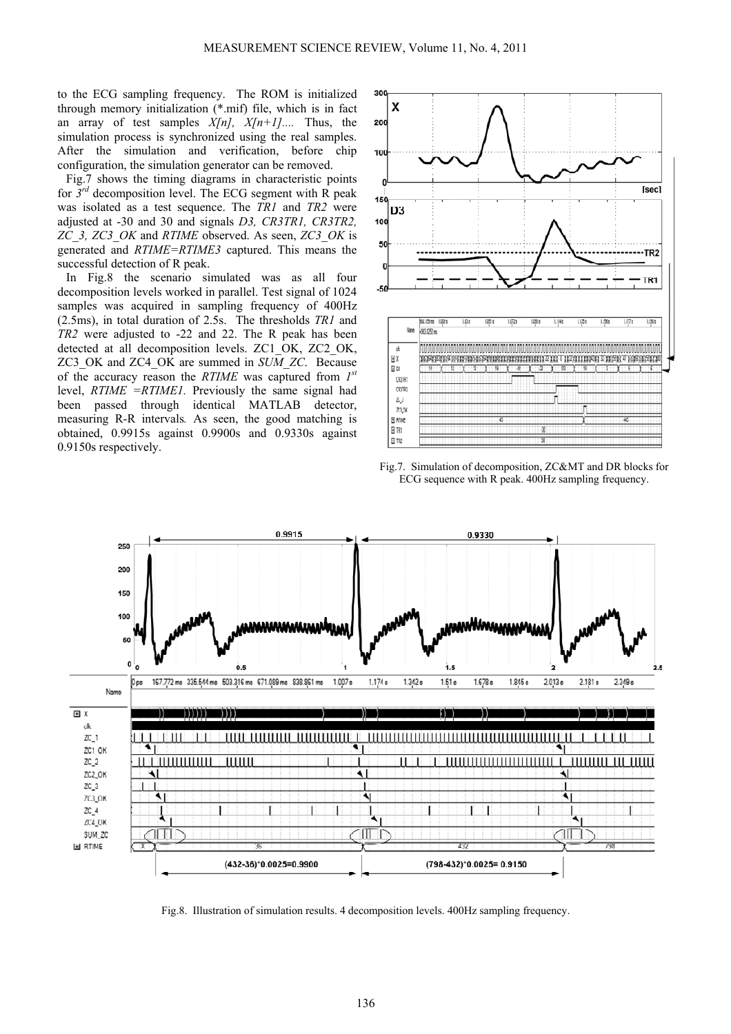to the ECG sampling frequency. The ROM is initialized through memory initialization (\*.mif) file, which is in fact an array of test samples *X[n], X[n+1]....* Thus, the simulation process is synchronized using the real samples. After the simulation and verification, before chip configuration, the simulation generator can be removed.

Fig.7 shows the timing diagrams in characteristic points for  $3^{rd}$  decomposition level. The ECG segment with R peak was isolated as a test sequence. The *TR1* and *TR2* were adjusted at -30 and 30 and signals *D3, CR3TR1, CR3TR2, ZC\_3, ZC3\_OK* and *RTIME* observed. As seen, *ZC3\_OK* is generated and *RTIME=RTIME3* captured. This means the successful detection of R peak.

In Fig.8 the scenario simulated was as all four decomposition levels worked in parallel. Test signal of 1024 samples was acquired in sampling frequency of 400Hz (2.5ms), in total duration of 2.5s. The thresholds *TR1* and *TR2* were adjusted to -22 and 22. The R peak has been detected at all decomposition levels. ZC1\_OK, ZC2\_OK, ZC3\_OK and ZC4\_OK are summed in *SUM\_ZC*. Because of the accuracy reason the *RTIME* was captured from *1st* level, *RTIME =RTIME1.* Previously the same signal had been passed through identical MATLAB detector, measuring R-R intervals*.* As seen, the good matching is obtained, 0.9915s against 0.9900s and 0.9330s against 0.9150s respectively.

![](_page_5_Figure_4.jpeg)

Fig.7. Simulation of decomposition, ZC&MT and DR blocks for ECG sequence with R peak. 400Hz sampling frequency.

![](_page_5_Figure_6.jpeg)

Fig.8. Illustration of simulation results. 4 decomposition levels. 400Hz sampling frequency.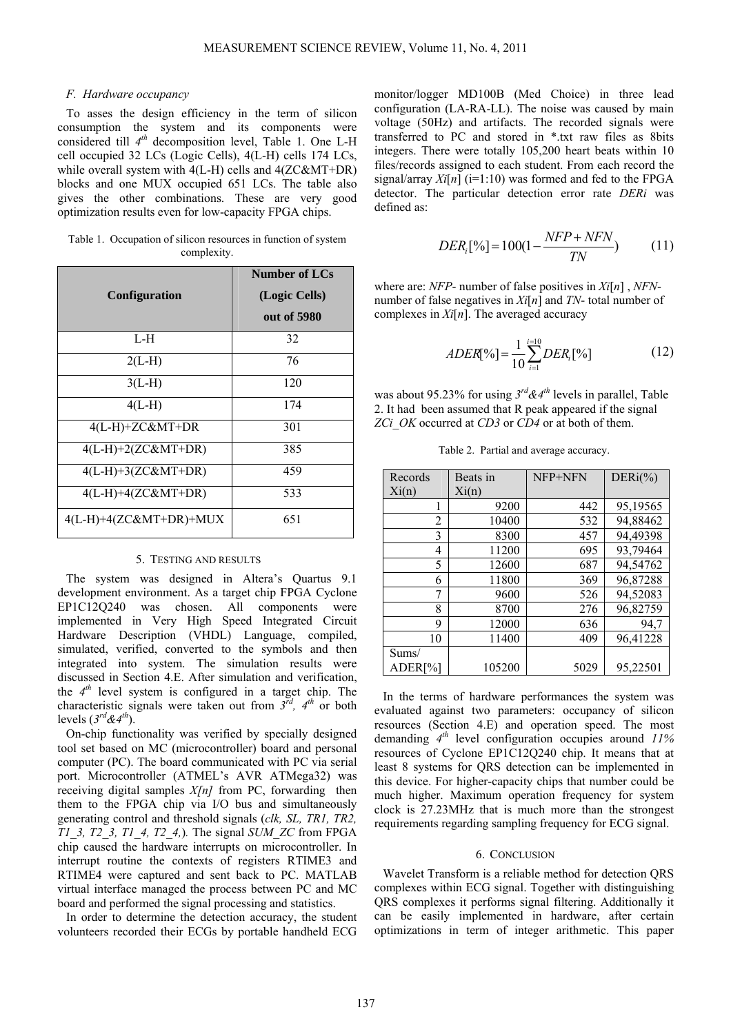### *F. Hardware occupancy*

To asses the design efficiency in the term of silicon consumption the system and its components were considered till *4th* decomposition level, Table 1. One L-H cell occupied 32 LCs (Logic Cells), 4(L-H) cells 174 LCs, while overall system with  $4(L-H)$  cells and  $4(ZC\&MT+DR)$ blocks and one MUX occupied 651 LCs. The table also gives the other combinations. These are very good optimization results even for low-capacity FPGA chips.

Table 1. Occupation of silicon resources in function of system complexity.

| <b>Configuration</b>   | <b>Number of LCs</b><br>(Logic Cells)<br>out of 5980 |  |
|------------------------|------------------------------------------------------|--|
| L-H                    | 32                                                   |  |
| $2(L-H)$               | 76                                                   |  |
| $3(L-H)$               | 120                                                  |  |
| $4(L-H)$               | 174                                                  |  |
| 4(L-H)+ZC&MT+DR        | 301                                                  |  |
| $4(L-H)+2(ZC\&MT+DR)$  | 385                                                  |  |
| $4(L-H)+3(ZC&MT+DR)$   | 459                                                  |  |
| $4(L-H)+4(ZC\&MT+DR)$  | 533                                                  |  |
| 4(L-H)+4(ZC&MT+DR)+MUX | 651                                                  |  |

# 5. TESTING AND RESULTS

The system was designed in Altera's Quartus 9.1 development environment. As a target chip FPGA Cyclone EP1C12Q240 was chosen. All components were implemented in Very High Speed Integrated Circuit Hardware Description (VHDL) Language, compiled, simulated, verified, converted to the symbols and then integrated into system. The simulation results were discussed in Section 4.E. After simulation and verification, the *4th* level system is configured in a target chip. The characteristic signals were taken out from  $3^{rd}$ ,  $4^{th}$  or both levels  $(3^{rd} \& 4^{th})$ .

On-chip functionality was verified by specially designed tool set based on MC (microcontroller) board and personal computer (PC). The board communicated with PC via serial port. Microcontroller (ATMEL's AVR ATMega32) was receiving digital samples *X[n]* from PC, forwarding then them to the FPGA chip via I/O bus and simultaneously generating control and threshold signals (*clk, SL, TR1, TR2, T1\_3, T2\_3, T1\_4, T2\_4,*)*.* The signal *SUM\_ZC* from FPGA chip caused the hardware interrupts on microcontroller. In interrupt routine the contexts of registers RTIME3 and RTIME4 were captured and sent back to PC. MATLAB virtual interface managed the process between PC and MC board and performed the signal processing and statistics.

In order to determine the detection accuracy, the student volunteers recorded their ECGs by portable handheld ECG

monitor/logger MD100B (Med Choice) in three lead configuration (LA-RA-LL). The noise was caused by main voltage (50Hz) and artifacts. The recorded signals were transferred to PC and stored in \*.txt raw files as 8bits integers. There were totally 105,200 heart beats within 10 files/records assigned to each student. From each record the signal/array  $Xi[n]$  (i=1:10) was formed and fed to the FPGA detector. The particular detection error rate *DERi* was defined as:

$$
DER_i[%] = 100(1 - \frac{NFP + NFN}{TN})
$$
 (11)

where are: *NFP*- number of false positives in *Xi*[*n*] , *NFN*number of false negatives in *Xi*[*n*] and *TN*- total number of complexes in *Xi*[*n*]. The averaged accuracy

$$
ADER[\%] = \frac{1}{10} \sum_{i=1}^{i=1} DER_i[\%]
$$
 (12)

was about 95.23% for using  $3^{rd}$  & 4<sup>th</sup> levels in parallel, Table 2. It had been assumed that R peak appeared if the signal *ZCi\_OK* occurred at *CD3* or *CD4* or at both of them.

| Records | Beats in | NFP+NFN | $DERi(\%)$ |
|---------|----------|---------|------------|
| Xi(n)   | Xi(n)    |         |            |
| 1       | 9200     | 442     | 95,19565   |
| 2       | 10400    | 532     | 94,88462   |
| 3       | 8300     | 457     | 94,49398   |
| 4       | 11200    | 695     | 93,79464   |
| 5       | 12600    | 687     | 94,54762   |
| 6       | 11800    | 369     | 96,87288   |
| 7       | 9600     | 526     | 94,52083   |
| 8       | 8700     | 276     | 96,82759   |
| 9       | 12000    | 636     | 94.7       |
| 10      | 11400    | 409     | 96,41228   |
| Sums/   |          |         |            |
| ADER[%] | 105200   | 5029    | 95,22501   |

Table 2. Partial and average accuracy.

In the terms of hardware performances the system was evaluated against two parameters: occupancy of silicon resources (Section 4.E) and operation speed. The most demanding *4th* level configuration occupies around *11%* resources of Cyclone EP1C12Q240 chip. It means that at least 8 systems for QRS detection can be implemented in this device. For higher-capacity chips that number could be much higher. Maximum operation frequency for system clock is 27.23MHz that is much more than the strongest requirements regarding sampling frequency for ECG signal.

## 6. CONCLUSION

Wavelet Transform is a reliable method for detection QRS complexes within ECG signal. Together with distinguishing QRS complexes it performs signal filtering. Additionally it can be easily implemented in hardware, after certain optimizations in term of integer arithmetic. This paper